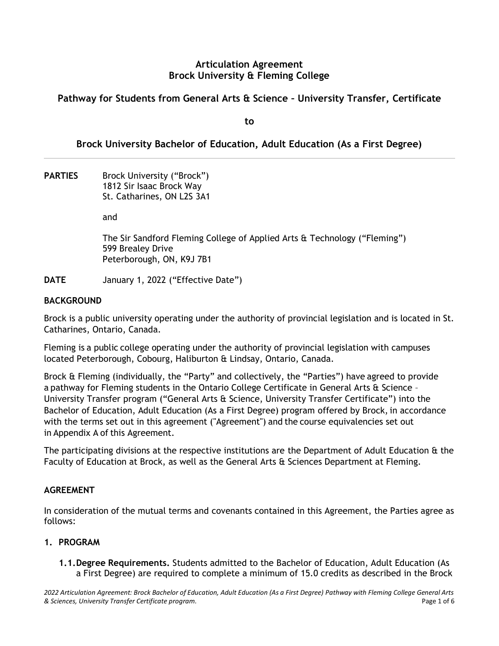#### **Articulation Agreement Brock University & Fleming College**

## **Pathway for Students from General Arts & Science – University Transfer, Certificate**

**to** 

## **Brock University Bachelor of Education, Adult Education (As a First Degree)**

PARTIES Brock University ("Brock") 1812 Sir Isaac Brock Way St. Catharines, ON L2S 3A1

and

The Sir Sandford Fleming College of Applied Arts & Technology ("Fleming") 599 Brealey Drive Peterborough, ON, K9J 7B1

**DATE** January 1, 2022 ("Effective Date")

#### **BACKGROUND**

Brock is a public university operating under the authority of provincial legislation and is located in St. Catharines, Ontario, Canada.

Fleming is a public college operating under the authority of provincial legislation with campuses located Peterborough, Cobourg, Haliburton & Lindsay, Ontario, Canada.  

Brock & Fleming (individually, the "Party" and collectively, the "Parties") have agreed to provide a pathway for Fleming students in the Ontario College Certificate in General Arts & Science -University Transfer program ("General Arts & Science, University Transfer Certificate") into the Bachelor of Education, Adult Education (As a First Degree) program offered by Brock, in accordance with the terms set out in this agreement ("Agreement") and the course equivalencies set out in Appendix A of this Agreement.

The participating divisions at the respective institutions are the Department of Adult Education & the Faculty of Education at Brock, as well as the General Arts & Sciences Department at Fleming.

#### **AGREEMENT**

In consideration of the mutual terms and covenants contained in this Agreement, the Parties agree as follows:

#### **1. PROGRAM**

**1.1.Degree Requirements.** Students admitted to the Bachelor of Education, Adult Education (As a First Degree) are required to complete a minimum of 15.0 credits as described in the Brock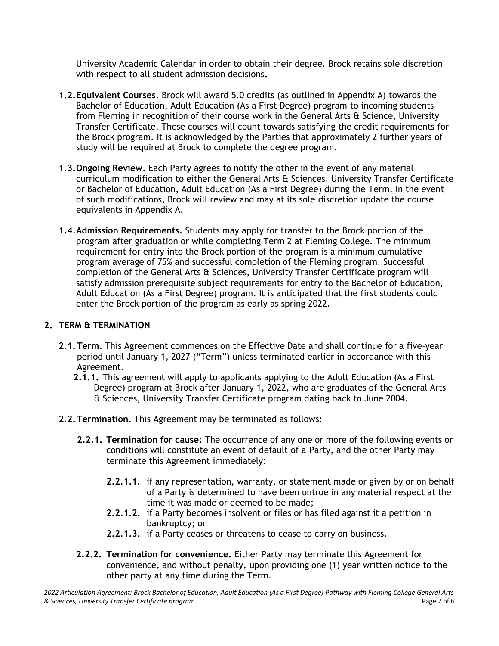University Academic Calendar in order to obtain their degree. Brock retains sole discretion with respect to all student admission decisions**.** 

- **1.2.Equivalent Courses**. Brock will award 5.0 credits (as outlined in Appendix A) towards the Bachelor of Education, Adult Education (As a First Degree) program to incoming students from Fleming in recognition of their course work in the General Arts & Science, University Transfer Certificate. These courses will count towards satisfying the credit requirements for the Brock program. It is acknowledged by the Parties that approximately 2 further years of study will be required at Brock to complete the degree program.
- **1.3.Ongoing Review.** Each Party agrees to notify the other in the event of any material curriculum modification to either the General Arts & Sciences, University Transfer Certificate or Bachelor of Education, Adult Education (As a First Degree) during the Term. In the event of such modifications, Brock will review and may at its sole discretion update the course equivalents in Appendix A.
- **1.4.Admission Requirements.** Students may apply for transfer to the Brock portion of the program after graduation or while completing Term 2 at Fleming College. The minimum requirement for entry into the Brock portion of the program is a minimum cumulative program average of 75% and successful completion of the Fleming program. Successful completion of the General Arts & Sciences, University Transfer Certificate program will satisfy admission prerequisite subject requirements for entry to the Bachelor of Education, Adult Education (As a First Degree) program. It is anticipated that the first students could enter the Brock portion of the program as early as spring 2022.

## **2. TERM & TERMINATION**

- **2.1.Term.** This Agreement commences on the Effective Date and shall continue for a five-year period until January 1, 2027 ("Term") unless terminated earlier in accordance with this Agreement.
	- **2.1.1.** This agreement will apply to applicants applying to the Adult Education (As a First Degree) program at Brock after January 1, 2022, who are graduates of the General Arts & Sciences, University Transfer Certificate program dating back to June 2004.
- **2.2.Termination.** This Agreement may be terminated as follows:
	- **2.2.1. Termination for cause:** The occurrence of any one or more of the following events or conditions will constitute an event of default of a Party, and the other Party may terminate this Agreement immediately:
		- **2.2.1.1.** if any representation, warranty, or statement made or given by or on behalf of a Party is determined to have been untrue in any material respect at the time it was made or deemed to be made;
		- **2.2.1.2.** if a Party becomes insolvent or files or has filed against it a petition in bankruptcy; or
		- **2.2.1.3.** if a Party ceases or threatens to cease to carry on business.
	- **2.2.2. Termination for convenience.** Either Party may terminate this Agreement for convenience, and without penalty, upon providing one (1) year written notice to the other party at any time during the Term.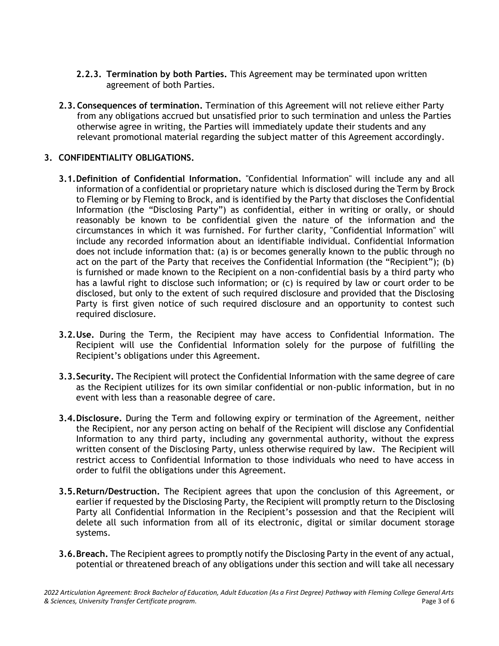- **2.2.3. Termination by both Parties.** This Agreement may be terminated upon written agreement of both Parties.
- **2.3.Consequences of termination.** Termination of this Agreement will not relieve either Party from any obligations accrued but unsatisfied prior to such termination and unless the Parties otherwise agree in writing, the Parties will immediately update their students and any relevant promotional material regarding the subject matter of this Agreement accordingly.

#### **3. CONFIDENTIALITY OBLIGATIONS.**

- **3.1.Definition of Confidential Information.** "Confidential Information" will include any and all information of a confidential or proprietary nature which is disclosed during the Term by Brock to Fleming or by Fleming to Brock, and is identified by the Party that discloses the Confidential Information (the "Disclosing Party") as confidential, either in writing or orally, or should reasonably be known to be confidential given the nature of the information and the circumstances in which it was furnished. For further clarity, "Confidential Information" will include any recorded information about an identifiable individual. Confidential Information does not include information that: (a) is or becomes generally known to the public through no act on the part of the Party that receives the Confidential Information (the "Recipient"); (b) is furnished or made known to the Recipient on a non-confidential basis by a third party who has a lawful right to disclose such information; or (c) is required by law or court order to be disclosed, but only to the extent of such required disclosure and provided that the Disclosing Party is first given notice of such required disclosure and an opportunity to contest such required disclosure.
- **3.2.Use.** During the Term, the Recipient may have access to Confidential Information. The Recipient will use the Confidential Information solely for the purpose of fulfilling the Recipient's obligations under this Agreement.
- **3.3.Security.** The Recipient will protect the Confidential Information with the same degree of care as the Recipient utilizes for its own similar confidential or non-public information, but in no event with less than a reasonable degree of care.
- **3.4.Disclosure.** During the Term and following expiry or termination of the Agreement, neither the Recipient, nor any person acting on behalf of the Recipient will disclose any Confidential Information to any third party, including any governmental authority, without the express written consent of the Disclosing Party, unless otherwise required by law. The Recipient will restrict access to Confidential Information to those individuals who need to have access in order to fulfil the obligations under this Agreement.
- **3.5.Return/Destruction.** The Recipient agrees that upon the conclusion of this Agreement, or earlier if requested by the Disclosing Party, the Recipient will promptly return to the Disclosing Party all Confidential Information in the Recipient's possession and that the Recipient will delete all such information from all of its electronic, digital or similar document storage systems.
- **3.6.Breach.** The Recipient agrees to promptly notify the Disclosing Party in the event of any actual, potential or threatened breach of any obligations under this section and will take all necessary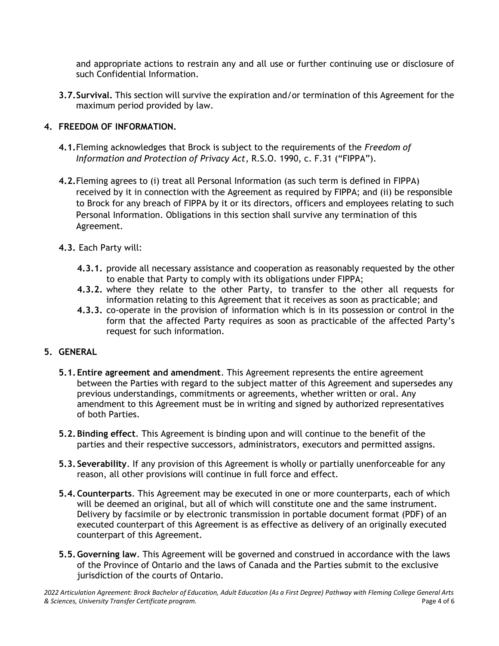and appropriate actions to restrain any and all use or further continuing use or disclosure of such Confidential Information.

**3.7.Survival.** This section will survive the expiration and/or termination of this Agreement for the maximum period provided by law.

## **4. FREEDOM OF INFORMATION.**

- **4.1.**Fleming acknowledges that Brock is subject to the requirements of the *Freedom of Information and Protection of Privacy Act*, R.S.O. 1990, c. F.31 ("FIPPA").
- **4.2.**Fleming agrees to (i) treat all Personal Information (as such term is defined in FIPPA) received by it in connection with the Agreement as required by FIPPA; and (ii) be responsible to Brock for any breach of FIPPA by it or its directors, officers and employees relating to such Personal Information. Obligations in this section shall survive any termination of this Agreement.
- **4.3.** Each Party will:
	- **4.3.1.** provide all necessary assistance and cooperation as reasonably requested by the other to enable that Party to comply with its obligations under FIPPA;
	- **4.3.2.** where they relate to the other Party, to transfer to the other all requests for information relating to this Agreement that it receives as soon as practicable; and
	- **4.3.3.** co-operate in the provision of information which is in its possession or control in the form that the affected Party requires as soon as practicable of the affected Party's request for such information.

## **5. GENERAL**

- **5.1.Entire agreement and amendment**. This Agreement represents the entire agreement between the Parties with regard to the subject matter of this Agreement and supersedes any previous understandings, commitments or agreements, whether written or oral. Any amendment to this Agreement must be in writing and signed by authorized representatives of both Parties.
- **5.2.Binding effect**. This Agreement is binding upon and will continue to the benefit of the parties and their respective successors, administrators, executors and permitted assigns.
- **5.3. Severability**. If any provision of this Agreement is wholly or partially unenforceable for any reason, all other provisions will continue in full force and effect.
- **5.4.Counterparts**. This Agreement may be executed in one or more counterparts, each of which will be deemed an original, but all of which will constitute one and the same instrument. Delivery by facsimile or by electronic transmission in portable document format (PDF) of an executed counterpart of this Agreement is as effective as delivery of an originally executed counterpart of this Agreement.
- **5.5.Governing law**. This Agreement will be governed and construed in accordance with the laws of the Province of Ontario and the laws of Canada and the Parties submit to the exclusive jurisdiction of the courts of Ontario.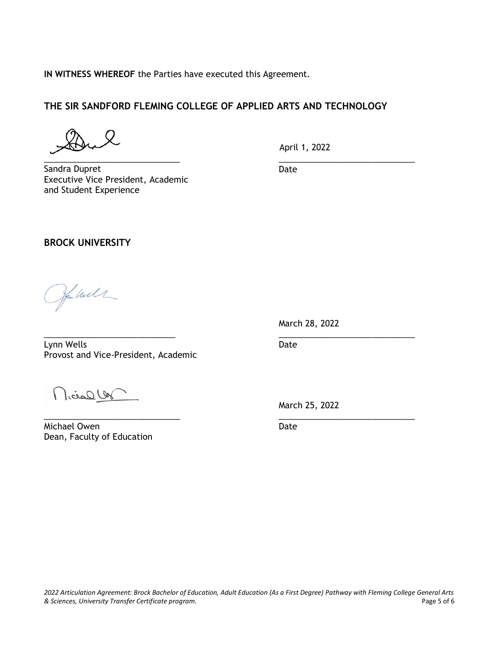**IN WITNESS WHEREOF** the Parties have executed this Agreement.

### **THE SIR SANDFORD FLEMING COLLEGE OF APPLIED ARTS AND TECHNOLOGY**

\_\_\_\_\_\_\_\_\_\_\_\_\_\_\_\_\_\_\_\_\_\_\_\_\_\_\_\_\_

April 1, 2022

Sandra Dupret Executive Vice President, Academic and Student Experience

\_\_\_\_\_\_\_\_\_\_\_\_\_\_\_\_\_\_\_\_\_\_\_\_\_\_\_\_\_ Date

#### **BROCK UNIVERSITY**

Jon will

March 28, 2022

 $\overline{\phantom{a}}$  , and the contract of the contract of the contract of the contract of the contract of the contract of the contract of the contract of the contract of the contract of the contract of the contract of the contrac Lynn Wells **Date** Provost and Vice-President, Academic

Micrael Un

Michael Owen **Date** Dean, Faculty of Education

March 25, 2022

 $\overline{\phantom{a}}$  , and the contract of the contract of the contract of the contract of the contract of the contract of the contract of the contract of the contract of the contract of the contract of the contract of the contrac